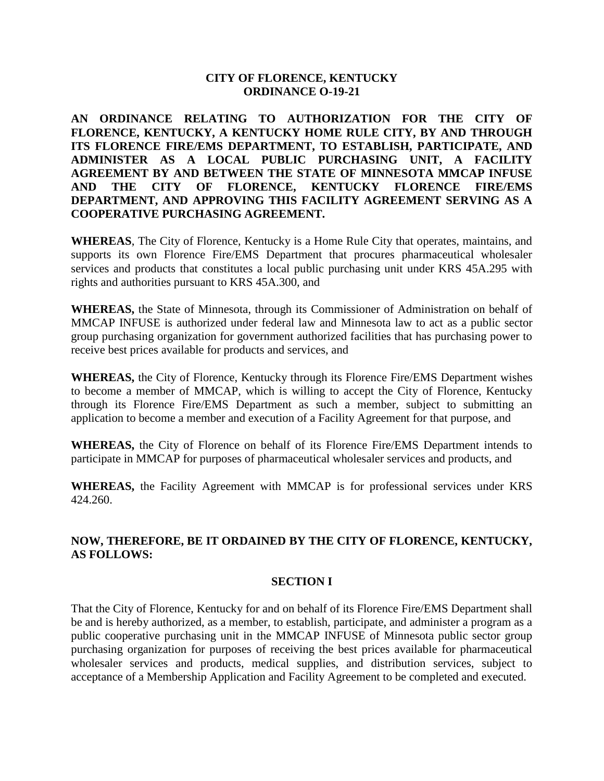## **CITY OF FLORENCE, KENTUCKY ORDINANCE O-19-21**

**AN ORDINANCE RELATING TO AUTHORIZATION FOR THE CITY OF FLORENCE, KENTUCKY, A KENTUCKY HOME RULE CITY, BY AND THROUGH ITS FLORENCE FIRE/EMS DEPARTMENT, TO ESTABLISH, PARTICIPATE, AND ADMINISTER AS A LOCAL PUBLIC PURCHASING UNIT, A FACILITY AGREEMENT BY AND BETWEEN THE STATE OF MINNESOTA MMCAP INFUSE AND THE CITY OF FLORENCE, KENTUCKY FLORENCE FIRE/EMS DEPARTMENT, AND APPROVING THIS FACILITY AGREEMENT SERVING AS A COOPERATIVE PURCHASING AGREEMENT.** 

**WHEREAS**, The City of Florence, Kentucky is a Home Rule City that operates, maintains, and supports its own Florence Fire/EMS Department that procures pharmaceutical wholesaler services and products that constitutes a local public purchasing unit under KRS 45A.295 with rights and authorities pursuant to KRS 45A.300, and

**WHEREAS,** the State of Minnesota, through its Commissioner of Administration on behalf of MMCAP INFUSE is authorized under federal law and Minnesota law to act as a public sector group purchasing organization for government authorized facilities that has purchasing power to receive best prices available for products and services, and

**WHEREAS,** the City of Florence, Kentucky through its Florence Fire/EMS Department wishes to become a member of MMCAP, which is willing to accept the City of Florence, Kentucky through its Florence Fire/EMS Department as such a member, subject to submitting an application to become a member and execution of a Facility Agreement for that purpose, and

**WHEREAS,** the City of Florence on behalf of its Florence Fire/EMS Department intends to participate in MMCAP for purposes of pharmaceutical wholesaler services and products, and

**WHEREAS,** the Facility Agreement with MMCAP is for professional services under KRS 424.260.

# **NOW, THEREFORE, BE IT ORDAINED BY THE CITY OF FLORENCE, KENTUCKY, AS FOLLOWS:**

## **SECTION I**

That the City of Florence, Kentucky for and on behalf of its Florence Fire/EMS Department shall be and is hereby authorized, as a member, to establish, participate, and administer a program as a public cooperative purchasing unit in the MMCAP INFUSE of Minnesota public sector group purchasing organization for purposes of receiving the best prices available for pharmaceutical wholesaler services and products, medical supplies, and distribution services, subject to acceptance of a Membership Application and Facility Agreement to be completed and executed.